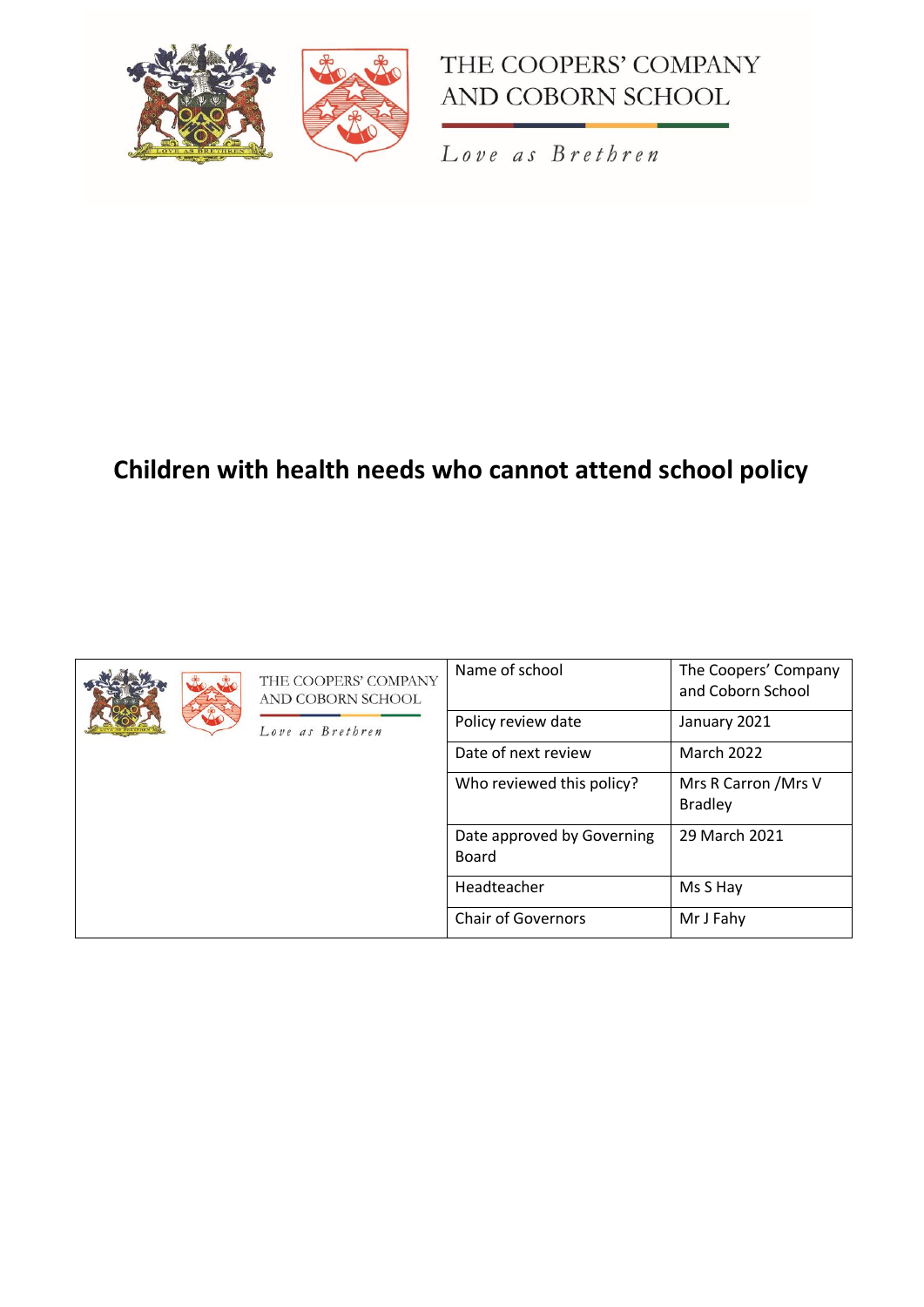



Love as Brethren

# **Children with health needs who cannot attend school policy**

|  | THE COOPERS' COMPANY<br>AND COBORN SCHOOL | Name of school                             | The Coopers' Company<br>and Coborn School |
|--|-------------------------------------------|--------------------------------------------|-------------------------------------------|
|  | Love as Brethren                          | Policy review date                         | January 2021                              |
|  |                                           | Date of next review                        | <b>March 2022</b>                         |
|  |                                           | Who reviewed this policy?                  | Mrs R Carron / Mrs V<br><b>Bradley</b>    |
|  |                                           | Date approved by Governing<br><b>Board</b> | 29 March 2021                             |
|  |                                           | Headteacher                                | Ms S Hay                                  |
|  |                                           | <b>Chair of Governors</b>                  | Mr J Fahy                                 |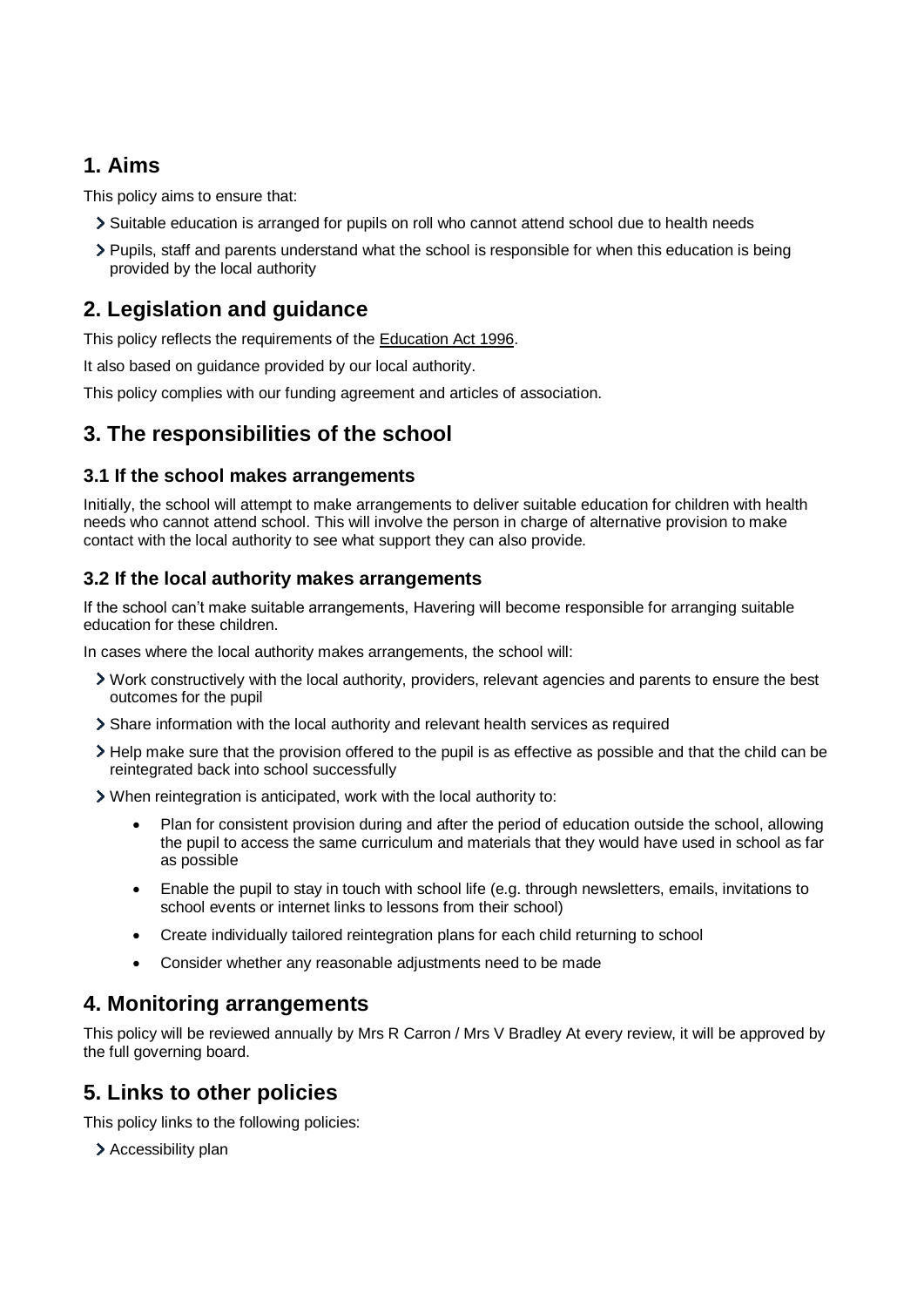## **1. Aims**

This policy aims to ensure that:

- Suitable education is arranged for pupils on roll who cannot attend school due to health needs
- Pupils, staff and parents understand what the school is responsible for when this education is being provided by the local authority

# **2. Legislation and guidance**

This policy reflects the requirements of the [Education Act 1996.](http://www.legislation.gov.uk/ukpga/1996/56/section/19)

It also based on guidance provided by our local authority.

This policy complies with our funding agreement and articles of association.

### **3. The responsibilities of the school**

#### **3.1 If the school makes arrangements**

Initially, the school will attempt to make arrangements to deliver suitable education for children with health needs who cannot attend school. This will involve the person in charge of alternative provision to make contact with the local authority to see what support they can also provide.

#### **3.2 If the local authority makes arrangements**

If the school can't make suitable arrangements, Havering will become responsible for arranging suitable education for these children.

In cases where the local authority makes arrangements, the school will:

- Work constructively with the local authority, providers, relevant agencies and parents to ensure the best outcomes for the pupil
- Share information with the local authority and relevant health services as required
- Help make sure that the provision offered to the pupil is as effective as possible and that the child can be reintegrated back into school successfully

When reintegration is anticipated, work with the local authority to:

- Plan for consistent provision during and after the period of education outside the school, allowing the pupil to access the same curriculum and materials that they would have used in school as far as possible
- Enable the pupil to stay in touch with school life (e.g. through newsletters, emails, invitations to school events or internet links to lessons from their school)
- Create individually tailored reintegration plans for each child returning to school
- Consider whether any reasonable adjustments need to be made

### **4. Monitoring arrangements**

This policy will be reviewed annually by Mrs R Carron / Mrs V Bradley At every review, it will be approved by the full governing board.

## **5. Links to other policies**

This policy links to the following policies:

> Accessibility plan